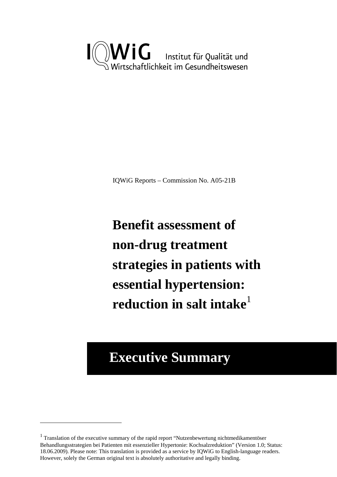

IQWiG Reports – Commission No. A05-21B

**Benefit assessment of non-drug treatment strategies in patients with essential hypertension: reduction in salt intake**<sup>1</sup>

# **Executive Summary**

1

<sup>&</sup>lt;sup>1</sup> Translation of the executive summary of the rapid report "Nutzenbewertung nichtmedikamentöser Behandlungsstrategien bei Patienten mit essenzieller Hypertonie: Kochsalzreduktion" (Version 1.0; Status: 18.06.2009). Please note: This translation is provided as a service by IQWiG to English-language readers. However, solely the German original text is absolutely authoritative and legally binding.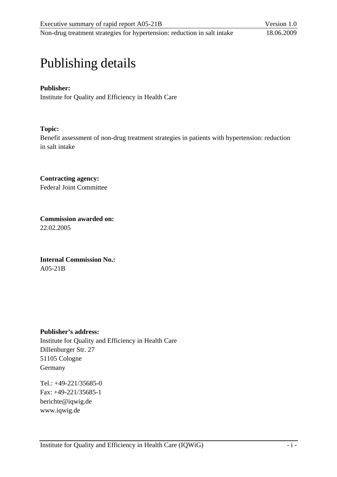# Publishing details

## **Publisher:**

Institute for Quality and Efficiency in Health Care

## **Topic:**

Benefit assessment of non-drug treatment strategies in patients with hypertension: reduction in salt intake

**Contracting agency:**  Federal Joint Committee

**Commission awarded on:**  22.02.2005

**Internal Commission No.:**  A05-21B

## **Publisher's address:**

Institute for Quality and Efficiency in Health Care Dillenburger Str. 27 51105 Cologne Germany

Tel.: +49-221/35685-0 Fax: +49-221/35685-1 berichte@iqwig.de [www.iqwig.de](http://www.iqwig.de/)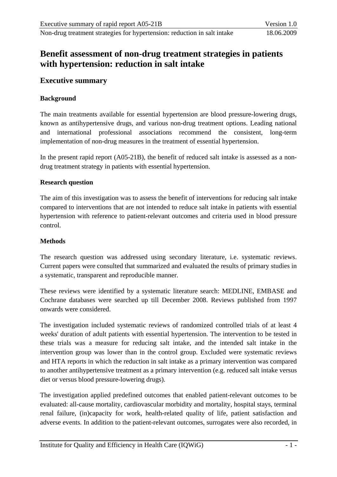## **Benefit assessment of non-drug treatment strategies in patients with hypertension: reduction in salt intake**

### **Executive summary**

#### **Background**

The main treatments available for essential hypertension are blood pressure-lowering drugs, known as antihypertensive drugs, and various non-drug treatment options. Leading national and international professional associations recommend the consistent, long-term implementation of non-drug measures in the treatment of essential hypertension.

In the present rapid report (A05-21B), the benefit of reduced salt intake is assessed as a nondrug treatment strategy in patients with essential hypertension.

#### **Research question**

The aim of this investigation was to assess the benefit of interventions for reducing salt intake compared to interventions that are not intended to reduce salt intake in patients with essential hypertension with reference to patient-relevant outcomes and criteria used in blood pressure control.

#### **Methods**

The research question was addressed using secondary literature, i.e. systematic reviews. Current papers were consulted that summarized and evaluated the results of primary studies in a systematic, transparent and reproducible manner.

These reviews were identified by a systematic literature search: MEDLINE, EMBASE and Cochrane databases were searched up till December 2008. Reviews published from 1997 onwards were considered.

The investigation included systematic reviews of randomized controlled trials of at least 4 weeks' duration of adult patients with essential hypertension. The intervention to be tested in these trials was a measure for reducing salt intake, and the intended salt intake in the intervention group was lower than in the control group. Excluded were systematic reviews and HTA reports in which the reduction in salt intake as a primary intervention was compared to another antihypertensive treatment as a primary intervention (e.g. reduced salt intake versus diet or versus blood pressure-lowering drugs).

The investigation applied predefined outcomes that enabled patient-relevant outcomes to be evaluated: all-cause mortality, cardiovascular morbidity and mortality, hospital stays, terminal renal failure, (in)capacity for work, health-related quality of life, patient satisfaction and adverse events. In addition to the patient-relevant outcomes, surrogates were also recorded, in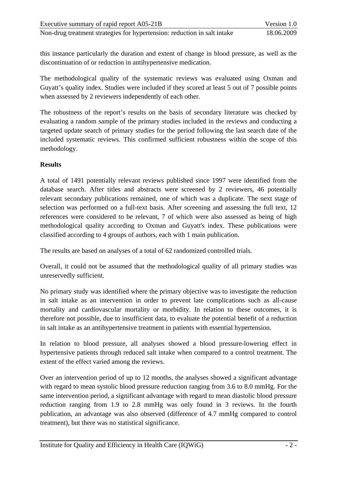this instance particularly the duration and extent of change in blood pressure, as well as the discontinuation of or reduction in antihypertensive medication.

The methodological quality of the systematic reviews was evaluated using Oxman and Guyatt's quality index. Studies were included if they scored at least 5 out of 7 possible points when assessed by 2 reviewers independently of each other.

The robustness of the report's results on the basis of secondary literature was checked by evaluating a random sample of the primary studies included in the reviews and conducting a targeted update search of primary studies for the period following the last search date of the included systematic reviews. This confirmed sufficient robustness within the scope of this methodology.

### **Results**

A total of 1491 potentially relevant reviews published since 1997 were identified from the database search. After titles and abstracts were screened by 2 reviewers, 46 potentially relevant secondary publications remained, one of which was a duplicate. The next stage of selection was performed on a full-text basis. After screening and assessing the full text, 12 references were considered to be relevant, 7 of which were also assessed as being of high methodological quality according to Oxman and Guyatt's index. These publications were classified according to 4 groups of authors, each with 1 main publication.

The results are based on analyses of a total of 62 randomized controlled trials.

Overall, it could not be assumed that the methodological quality of all primary studies was unreservedly sufficient.

No primary study was identified where the primary objective was to investigate the reduction in salt intake as an intervention in order to prevent late complications such as all-cause mortality and cardiovascular mortality or morbidity. In relation to these outcomes, it is therefore not possible, due to insufficient data, to evaluate the potential benefit of a reduction in salt intake as an antihypertensive treatment in patients with essential hypertension.

In relation to blood pressure, all analyses showed a blood pressure-lowering effect in hypertensive patients through reduced salt intake when compared to a control treatment. The extent of the effect varied among the reviews.

Over an intervention period of up to 12 months, the analyses showed a significant advantage with regard to mean systolic blood pressure reduction ranging from 3.6 to 8.0 mmHg. For the same intervention period, a significant advantage with regard to mean diastolic blood pressure reduction ranging from 1.9 to 2.8 mmHg was only found in 3 reviews. In the fourth publication, an advantage was also observed (difference of 4.7 mmHg compared to control treatment), but there was no statistical significance.